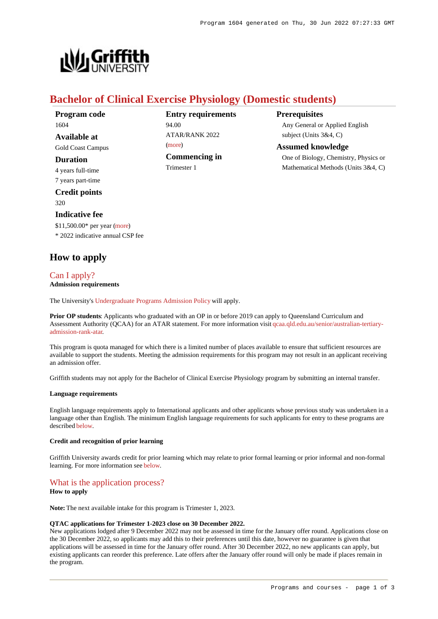**Prerequisites**



## **Bachelor of Clinical Exercise Physiology (Domestic students)**

 $ATAP/RANK 2022$ 

**Commencing in**

94.00

[\(more](https://www148.griffith.edu.au/programs-courses/Program/1604/HowToApply/Domestic#tac-entry-requirements))

Trimester 1

**Entry requirements**

| Program code             |
|--------------------------|
| 1604                     |
| Available at             |
| <b>Gold Coast Campus</b> |
| Duration                 |
| 4 years full-time        |
| 7 years part-time        |
|                          |

**Credit points** 320

## **Indicative fee**

\$11,500.00\* per year [\(more](https://www148.griffith.edu.au/programs-courses/Program/1604/Overview/Domestic#fees)) \* 2022 indicative annual CSP fee

## **How to apply**

## [Can I apply?](https://www148.griffith.edu.au/programs-courses/Program/1604/HowToApply/Domestic#can-i-apply) **Admission requirements**

The University's [Undergraduate Programs Admission Policy](https://sharepointpubstor.blob.core.windows.net/policylibrary-prod/Undergraduate Programs Admission Policy.pdf) will apply.

**Prior OP students**: Applicants who graduated with an OP in or before 2019 can apply to Queensland Curriculum and Assessment Authority (QCAA) for an ATAR statement. For more information visit [qcaa.qld.edu.au/senior/australian-tertiary](http://qcaa.qld.edu.au/senior/australian-tertiary-admission-rank-atar)[admission-rank-atar](http://qcaa.qld.edu.au/senior/australian-tertiary-admission-rank-atar).

This program is quota managed for which there is a limited number of places available to ensure that sufficient resources are available to support the students. Meeting the admission requirements for this program may not result in an applicant receiving an admission offer.

Griffith students may not apply for the Bachelor of Clinical Exercise Physiology program by submitting an internal transfer.

#### **Language requirements**

English language requirements apply to International applicants and other applicants whose previous study was undertaken in a language other than English. The minimum English language requirements for such applicants for entry to these programs are described [below](https://www148.griffith.edu.au/programs-courses/Program/1604/HowToApply/Domestic#language).

#### **Credit and recognition of prior learning**

Griffith University awards credit for prior learning which may relate to prior formal learning or prior informal and non-formal learning. For more information see [below](https://www148.griffith.edu.au/programs-courses/Program/1604/HowToApply/Domestic#credit).

## [What is the application process?](https://www148.griffith.edu.au/programs-courses/Program/1604/HowToApply/Domestic#process)

### **How to apply**

**Note:** The next available intake for this program is Trimester 1, 2023.

#### **QTAC applications for Trimester 1-2023 close on 30 December 2022.**

New applications lodged after 9 December 2022 may not be assessed in time for the January offer round. Applications close on the 30 December 2022, so applicants may add this to their preferences until this date, however no guarantee is given that applications will be assessed in time for the January offer round. After 30 December 2022, no new applicants can apply, but existing applicants can reorder this preference. Late offers after the January offer round will only be made if places remain in the program.

One of Biology, Chemistry, Physics or Mathematical Methods (Units 3&4, C)

Any General or Applied English

subject (Units 3&4, C) **Assumed knowledge**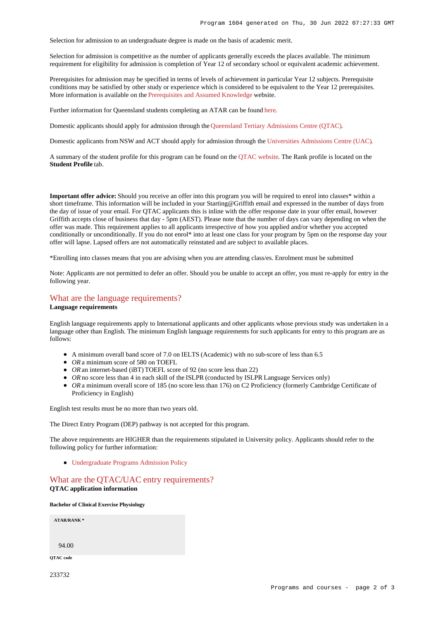Selection for admission to an undergraduate degree is made on the basis of academic merit.

Selection for admission is competitive as the number of applicants generally exceeds the places available. The minimum requirement for eligibility for admission is completion of Year 12 of secondary school or equivalent academic achievement.

Prerequisites for admission may be specified in terms of levels of achievement in particular Year 12 subjects. Prerequisite conditions may be satisfied by other study or experience which is considered to be equivalent to the Year 12 prerequisites. More information is available on the [Prerequisites and Assumed Knowledge](https://www.griffith.edu.au/apply/prerequisites-assumed-knowledge) website.

Further information for Queensland students completing an ATAR can be found [here](https://www.griffith.edu.au/apply/undergraduate-study/high-school-students/admission-in-2021).

Domestic applicants should apply for admission through the [Queensland Tertiary Admissions Centre \(QTAC\)](http://www.qtac.edu.au/).

Domestic applicants from NSW and ACT should apply for admission through the [Universities Admissions Centre \(UAC\)](http://www.uac.edu.au/).

A summary of the student profile for this program can be found on the [QTAC website](https://www.qtac.edu.au/courses/listing/bachelor-of-clinical-exercise-physiology-233732/). The Rank profile is located on the **Student Profile** tab.

**Important offer advice:** Should you receive an offer into this program you will be required to enrol into classes\* within a short timeframe. This information will be included in your Starting@Griffith email and expressed in the number of days from the day of issue of your email. For QTAC applicants this is inline with the offer response date in your offer email, however Griffith accepts close of business that day - 5pm (AEST). Please note that the number of days can vary depending on when the offer was made. This requirement applies to all applicants irrespective of how you applied and/or whether you accepted conditionally or unconditionally. If you do not enrol\* into at least one class for your program by 5pm on the response day your offer will lapse. Lapsed offers are not automatically reinstated and are subject to available places.

\*Enrolling into classes means that you are advising when you are attending class/es. Enrolment must be submitted

Note: Applicants are not permitted to defer an offer. Should you be unable to accept an offer, you must re-apply for entry in the following year.

# [What are the language requirements?](https://www148.griffith.edu.au/programs-courses/Program/1604/HowToApply/Domestic#language)

#### **Language requirements**

English language requirements apply to International applicants and other applicants whose previous study was undertaken in a language other than English. The minimum English language requirements for such applicants for entry to this program are as follows:

- A minimum overall band score of 7.0 on IELTS (Academic) with no sub-score of less than 6.5
- OR a minimum score of 580 on TOEFL
- *OR* an internet-based (iBT) TOEFL score of 92 (no score less than 22)
- OR no score less than 4 in each skill of the ISLPR (conducted by ISLPR Language Services only)
- OR a minimum overall score of 185 (no score less than 176) on C2 Proficiency (formerly Cambridge Certificate of Proficiency in English)

English test results must be no more than two years old.

The Direct Entry Program (DEP) pathway is not accepted for this program.

The above requirements are HIGHER than the requirements stipulated in University policy. Applicants should refer to the following policy for further information:

[Undergraduate Programs Admission Policy](http://policies.griffith.edu.au/pdf/Undergraduate Programs Admission Policy.pdf)

## [What are the QTAC/UAC entry requirements?](https://www148.griffith.edu.au/programs-courses/Program/1604/HowToApply/Domestic#tac-entry-requirements) **QTAC application information**

**Bachelor of Clinical Exercise Physiology**

**ATAR/RANK \*** 94.00 **QTAC code**